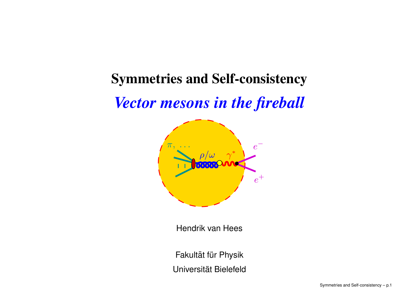# **Symmetries and Self-consistency**

# *Vector mesons in the fireball*



Hendrik van Hees

Fakultät für Physik Universität Bielefeld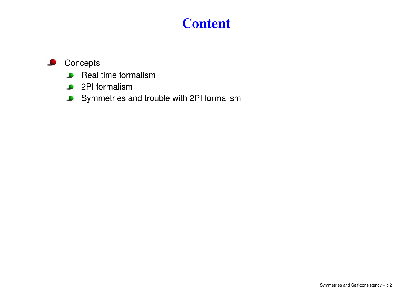# **Content**

#### **O** Concepts

- Real time formalism
- 2PI formalism
- Symmetries and trouble with 2PI formalism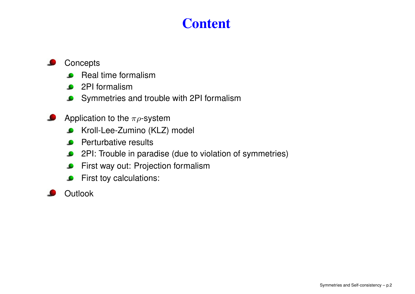# **Content**

#### **Concepts**

- Real time formalism
- 2PI formalism
- Symmetries and trouble with 2PI formalism
- Application to the  $\pi \rho$ -system
	- Kroll-Lee-Zumino (KLZ) model  $\bullet$
	- Perturbative results  $\bullet$
	- $\bullet$ 2PI: Trouble in paradise (due to violation of symmetries)
	- First way out: Projection formalism  $\bullet$
	- First toy calculations:  $\bullet$

#### **Outlook**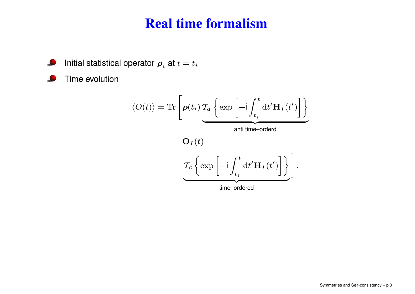#### **Real time formalism**

 $\bullet$ Initial statistical operator  $\boldsymbol{\rho}_i$  at  $t=t_i$ 

 $\bullet$ Time evolution

$$
\langle O(t) \rangle = \text{Tr}\left[\boldsymbol{\rho}(t_i) \mathcal{T}_a \left\{ \exp\left[ +\mathrm{i} \int_{t_i}^t \mathrm{d}t' \mathbf{H}_I(t') \right] \right\} \right]
$$
\n
$$
\mathbf{O}_I(t)
$$
\n
$$
\mathcal{T}_c \left\{ \exp\left[ -\mathrm{i} \int_{t_i}^t \mathrm{d}t' \mathbf{H}_I(t') \right] \right\} \right].
$$
\n
$$
\underbrace{\mathcal{T}_c \left\{ \exp\left[ -\mathrm{i} \int_{t_i}^t \mathrm{d}t' \mathbf{H}_I(t') \right] \right\}}_{\text{time-ordered}}.
$$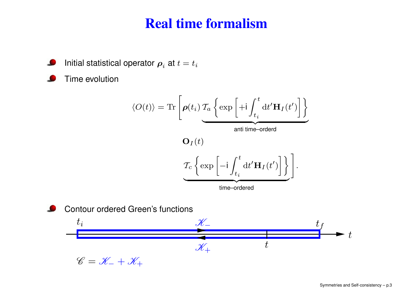#### **Real time formalism**



Time evolution

$$
\langle O(t) \rangle = \text{Tr}\left[\boldsymbol{\rho}(t_i) \mathcal{T}_a \left\{ \exp\left[ +\mathrm{i} \int_{t_i}^t \mathrm{d}t' \mathbf{H}_I(t') \right] \right\} \right]
$$
\nanti time–orderd

\n
$$
\mathbf{O}_I(t)
$$
\n
$$
\mathcal{T}_c \left\{ \exp\left[ -\mathrm{i} \int_{t_i}^t \mathrm{d}t' \mathbf{H}_I(t') \right] \right\} \right].
$$
\ntime–ordered



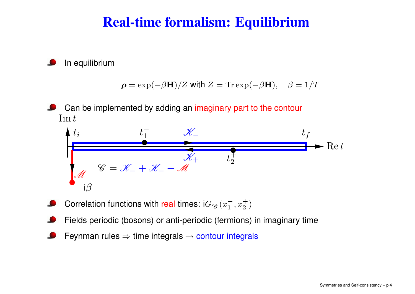# **Real-time formalism: Equilibrium**

In equilibrium

$$
\rho = \exp(-\beta \mathbf{H})/Z \text{ with } Z = \text{Tr}\exp(-\beta \mathbf{H}), \quad \beta = 1/T
$$

Can be implemented by adding an imaginary part to the contour  $\operatorname{Im} t$ 

$$
t_{i} \t t_{1} \t \mathscr{K}_{-}
$$
  
\n
$$
t_{f}
$$
  
\n
$$
\mathscr{K}_{+}
$$
  
\n
$$
t_{f}
$$
  
\n
$$
\mathscr{K}_{+}
$$
  
\n
$$
t_{f}
$$
  
\n
$$
t_{f}
$$
  
\n
$$
\mathscr{K}_{+}
$$
  
\n
$$
t_{f}
$$
  
\n
$$
t_{f}
$$
  
\n
$$
t_{f}
$$
  
\n
$$
t_{f}
$$
  
\n
$$
t_{f}
$$
  
\n
$$
t_{f}
$$

- Correlation functions with real times: i $G_{\mathscr{C}}(x_1^-,x_2^+)$
- Fields periodic (bosons) or anti-periodic (fermions) in imaginary time
- Feynman rules  $\Rightarrow$  time integrals  $\rightarrow$  contour integrals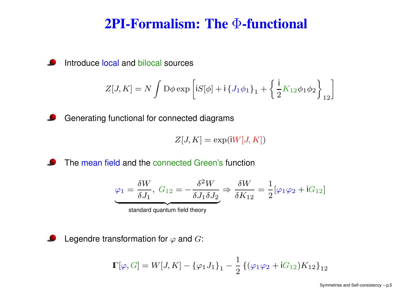#### **2PI-Formalism: The** Φ**-functional**

 $\bullet$ Introduce local and bilocal sources

$$
Z[J,K] = N \int D\phi \exp \left[ iS[\phi] + i \left\{ J_1 \phi_1 \right\}_1 + \left\{ \frac{i}{2} K_{12} \phi_1 \phi_2 \right\}_{12} \right]
$$

Generating functional for connected diagrams  $\bullet$ 

$$
Z[J,K] = \exp(\mathrm{i} W[J,K])
$$

 $\bullet$ The mean field and the connected Green's function

$$
\varphi_1 = \frac{\delta W}{\delta J_1}, \ G_{12} = -\frac{\delta^2 W}{\delta J_1 \delta J_2} \Rightarrow \frac{\delta W}{\delta K_{12}} = \frac{1}{2} [\varphi_1 \varphi_2 + iG_{12}]
$$
  
standard quantum field theory

Legendre transformation for  $\varphi$  and  $G$ :  $\bullet$ 

$$
\mathbb{F}[\varphi, G] = W[J, K] - \{\varphi_1 J_1\}_1 - \frac{1}{2} \{(\varphi_1 \varphi_2 + iG_{12}) K_{12}\}_{12}
$$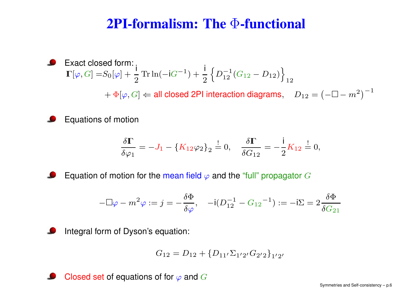# **2PI-formalism: The** Φ**-functional**

Exact closed form:  $\Gamma[\varphi,G]=S_0[\varphi]+\frac{\mathsf{i}}{2}\mathop{\rm Tr}\nolimits\ln(-\mathsf{i} G^{-1})+\frac{\mathsf{i}}{2}\left\{D_{12}^{-1}(G_{12}-D_{12})\right\}_{12}$  $+ \Phi[\varphi, G] \Leftarrow$  all closed 2PI interaction diagrams,  $D_{12} = \left(-\Box - m^2\right)^{-1}$ 

Equations of motion

$$
\frac{\delta \Gamma}{\delta \varphi_1} = -J_1 - \{K_{12}\varphi_2\}_2 \stackrel{!}{=} 0, \quad \frac{\delta \Gamma}{\delta G_{12}} = -\frac{\mathsf{i}}{2}K_{12} \stackrel{!}{=} 0,
$$

Equation of motion for the mean field  $\varphi$  and the "full" propagator G

$$
-\Box \varphi - m^2 \varphi := j = -\frac{\delta \Phi}{\delta \varphi}, \quad -\mathsf{i} (D_{12}^{-1} - G_{12}{}^{-1}) := -\mathsf{i} \Sigma = 2 \frac{\delta \Phi}{\delta G_{21}}
$$



$$
G_{12} = D_{12} + \{D_{11'}\Sigma_{1'2'}G_{2'2}\}_{1'2'}
$$

Closed set of equations of for  $\varphi$  and  $G$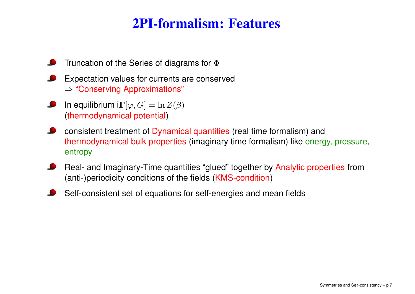# **2PI-formalism: Features**

- Truncation of the Series of diagrams for  $\Phi$
- Expectation values for currents are conserved  $\Rightarrow$  "Conserving Approximations"
- In equilibrium i $\mathbb{I}\lbrack\varphi,G]=\ln Z(\beta)$ (thermodynamical potential)
- consistent treatment of Dynamical quantities (real time formalism) and thermodynamical bulk properties (imaginary time formalism) like energy, pressure, entropy
- Real- and Imaginary-Time quantities "glued" together by Analytic properties from (anti-)periodicity conditions of the fields (KMS-condition)
- Self-consistent set of equations for self-energies and mean fields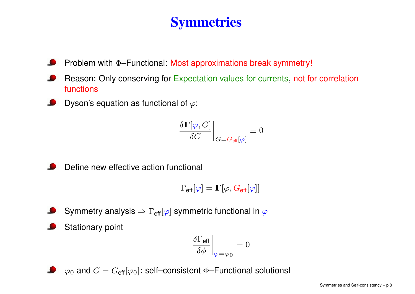# **Symmetries**

- Problem with <sup>Φ</sup>–Functional: Most approximations break symmetry!
- Reason: Only conserving for Expectation values for currents, not for correlation functions
- Dyson's equation as functional of  $\varphi$ :

$$
\left. \frac{\delta \Gamma[\varphi,G]}{\delta G} \right|_{G=G_{\rm eff}[\varphi]} \equiv 0
$$

Define new effective action functional

$$
\Gamma_{\rm eff}[\varphi]=\mathbb{\Gamma}[\varphi,G_{\rm eff}[\varphi]]
$$

- Symmetry analysis  $\Rightarrow \Gamma_{\text{eff}}[\varphi]$  symmetric functional in  $\varphi$
- Stationary point

$$
\left.\frac{\delta\Gamma_{\text{eff}}}{\delta\phi}\right|_{\varphi=\varphi_0}=0
$$

 $\bullet \quad \varphi_0$  and  $G = G_{\text{eff}}[\varphi_0]$ : self–consistent  $\Phi$ –Functional solutions!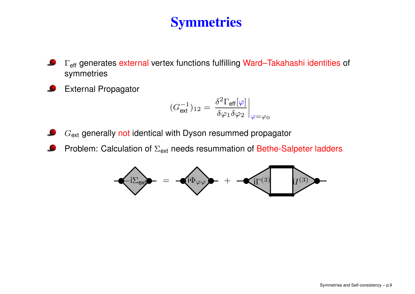# **Symmetries**

- $\Gamma_{\mathsf{eff}}$  generates  $\mathsf{external}$  vertex functions fulfilling  $\mathsf{Ward}\mathsf{-Takahashi}$  identities of symmetries
- External Propagator

$$
(G_{\text{ext}}^{-1})_{12} = \left. \frac{\delta^2 \Gamma_{\text{eff}}[\varphi]}{\delta \varphi_1 \delta \varphi_2} \right|_{\varphi = \varphi_0}
$$

- $G_{\mathsf{ext}}$  generally not identical with Dyson resummed propagator
- Problem: Calculation of  $\Sigma_{\mathsf{ext}}$  needs resummation of Bethe-Salpeter ladders

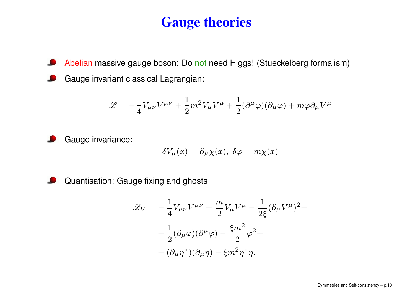# **Gauge theories**

 $\bullet$ Abelian massive gauge boson: Do not need Higgs! (Stueckelberg formalism) Gauge invariant classical Lagrangian:

$$
\mathcal{L} = -\frac{1}{4}V_{\mu\nu}V^{\mu\nu} + \frac{1}{2}m^2V_{\mu}V^{\mu} + \frac{1}{2}(\partial^{\mu}\varphi)(\partial_{\mu}\varphi) + m\varphi\partial_{\mu}V^{\mu}
$$

Gauge invariance:

$$
\delta V_{\mu}(x) = \partial_{\mu} \chi(x), \ \delta \varphi = m \chi(x)
$$

Quantisation: Gauge fixing and ghosts

$$
\mathcal{L}_V = -\frac{1}{4} V_{\mu\nu} V^{\mu\nu} + \frac{m}{2} V_{\mu} V^{\mu} - \frac{1}{2\xi} (\partial_{\mu} V^{\mu})^2 +
$$

$$
+ \frac{1}{2} (\partial_{\mu}\varphi)(\partial^{\mu}\varphi) - \frac{\xi m^2}{2} \varphi^2 +
$$

$$
+ (\partial_{\mu}\eta^*)(\partial_{\mu}\eta) - \xi m^2 \eta^* \eta.
$$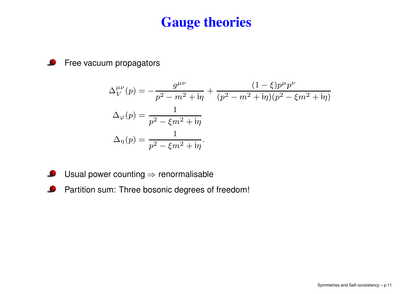### **Gauge theories**

 $\bullet$ Free vacuum propagators

$$
\Delta_V^{\mu\nu}(p) = -\frac{g^{\mu\nu}}{p^2 - m^2 + i\eta} + \frac{(1 - \xi)p^{\mu}p^{\nu}}{(p^2 - m^2 + i\eta)(p^2 - \xi m^2 + i\eta)}
$$

$$
\Delta_{\varphi}(p) = \frac{1}{p^2 - \xi m^2 + i\eta}
$$

$$
\Delta_{\eta}(p) = \frac{1}{p^2 - \xi m^2 + i\eta}.
$$

- Usual power counting  $\Rightarrow$  renormalisable  $\bullet$
- $\bullet$ Partition sum: Three bosonic degrees of freedom!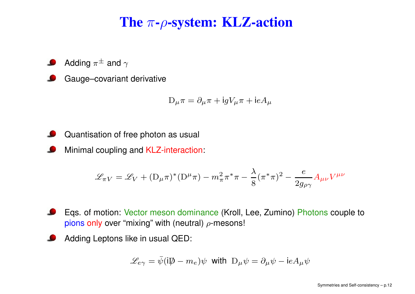# **The** <sup>π</sup>**-**ρ**-system: KLZ-action**

- Adding  $\pi^{\pm}$  and  $\gamma$
- Gauge–covariant derivative

$$
D_{\mu}\pi = \partial_{\mu}\pi + igV_{\mu}\pi + ieA_{\mu}
$$

- Quantisation of free photon as usual
- Minimal coupling and KLZ-interaction:

$$
\mathscr{L}_{\pi V} = \mathscr{L}_V + (D_\mu \pi)^* (D^\mu \pi) - m_\pi^2 \pi^* \pi - \frac{\lambda}{8} (\pi^* \pi)^2 - \frac{e}{2g_{\rho \gamma}} A_{\mu \nu} V^{\mu \nu}
$$

- Eqs. of motion: Vector meson dominance (Kroll, Lee, Zumino) Photons couple to pions only over "mixing" with (neutral)  $\rho$ -mesons!
- Adding Leptons like in usual QED:

$$
\mathcal{L}_{e\gamma} = \bar{\psi} (i\mathcal{D} - m_e) \psi
$$
 with  $D_{\mu} \psi = \partial_{\mu} \psi - ieA_{\mu} \psi$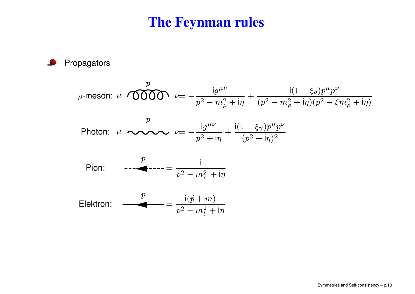### **The Feynman rules**

Propagators  $\bullet$ 

$$
\rho\text{-meson: } \mu \text{ OOD } \nu = -\frac{\mathrm{i} g^{\mu\nu}}{p^2 - m_\rho^2 + \mathrm{i} \eta} + \frac{\mathrm{i} (1 - \xi_\rho) p^\mu p^\nu}{(p^2 - m_\rho^2 + \mathrm{i} \eta)(p^2 - \xi m_\rho^2 + \mathrm{i} \eta)}
$$

$$
\text{Photon: } \mu \longrightarrow \text{ P} \longrightarrow \text{ P} = -\frac{\mathrm{i} g^{\mu\nu}}{p^2 + \mathrm{i} \eta} + \frac{\mathrm{i} (1 - \xi_\gamma) p^\mu p^\nu}{(p^2 + \mathrm{i} \eta)^2}
$$

Pion: 
$$
\frac{p}{p^2 - m_{\pi}^2 + i\eta}
$$

$$
\text{Elektron:} \quad \frac{p}{p^2 - m_l^2 + \text{i} \eta}
$$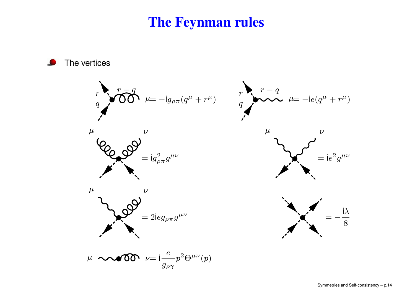#### **The Feynman rules**

The vertices

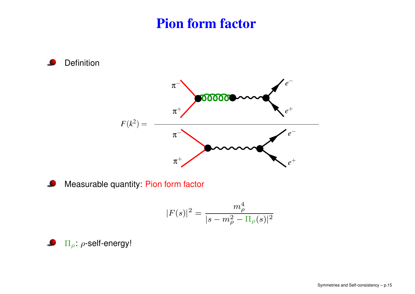## **Pion form factor**

Definition *e*π 00000  $e^+$  $\bm{\pi}^+$  $F(k^2) =$ *e*− π *<sup>e</sup>*<sup>+</sup>  $\pi^+$ 



$$
|F(s)|^2 = \frac{m_{\rho}^4}{|s - m_{\rho}^2 - \Pi_{\rho}(s)|^2}
$$

<sup>Π</sup>ρ: <sup>ρ</sup>-self-energy!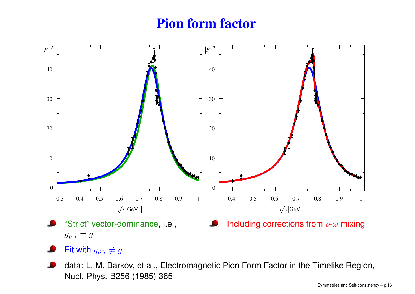# **Pion form factor**



```
g_{\rho\gamma}=g
```
- Fit with  $g_{\rho\gamma}\neq g$
- data: L. M. Barkov, et al., Electromagnetic Pion Form Factor in the Timelike Region, Nucl. Phys. B256 (1985) 365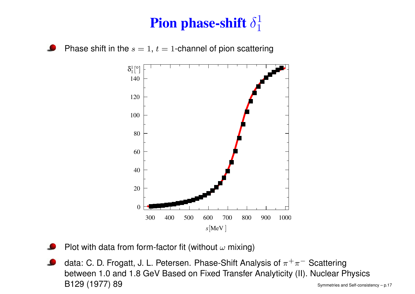# **Pion phase-shift**  $\delta_1^1$

Phase shift in the  $s=1,\,t=1$ -channel of pion scattering



- Plot with data from form-factor fit (without  $\omega$  mixing)
- data: C. D. Frogatt, J. L. Petersen. Phase-Shift Analysis of  $\pi^+\pi^-$  Scattering between 1.0 and 1.8 GeV Based on Fixed Transfer Analyticity (II). Nuclear Physics  $\mathsf{B129}\ (1977)\ 89$  Symmetries and Self-consistency – p.17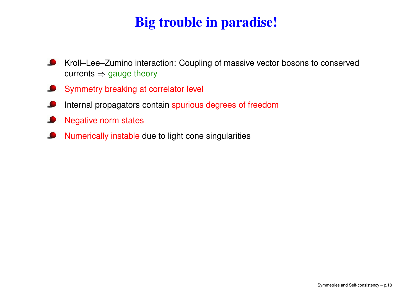# **Big trouble in paradise!**

- $\bullet$ Kroll–Lee–Zumino interaction: Coupling of massive vector bosons to conserved currents  $\Rightarrow$  gauge theory
- Symmetry breaking at correlator level  $\bullet$
- Internal propagators contain spurious degrees of freedom <u>is a</u>
- Negative norm states
- Numerically instable due to light cone singularities L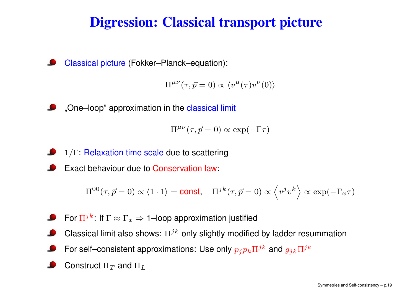# **Digression: Classical transport picture**

Classical picture (Fokker–Planck–equation):

 $\Pi^{\mu\nu}(\tau,\vec{p}=0) \propto \langle v^{\mu}(\tau)v^{\nu}(0)\rangle$ 

"One–loop" approximation in the classical limit

$$
\Pi^{\mu\nu}(\tau,\vec{p}=0) \propto \exp(-\Gamma \tau)
$$

<sup>1</sup>/<sup>Γ</sup>: Relaxation time scale due to scattering

Exact behaviour due to Conservation law:

$$
\Pi^{00}(\tau,\vec{p}=0)\propto \langle 1\cdot 1\rangle=\text{const},\quad \Pi^{jk}(\tau,\vec{p}=0)\propto \left\langle v^jv^k\right\rangle\propto \exp(-\Gamma_x\tau)
$$

- For  $\Pi^{jk}\colon$  If  $\Gamma\approx\Gamma_x\Rightarrow$  1–loop approximation justified
- Classical limit also shows:  $\Pi^{jk}$  only slightly modified by ladder resummation
- For self–consistent approximations: Use only  $p_j p_k \Pi^{jk}$  and  $g_{jk} \Pi^{jk}$
- Construct  $\Pi_T$  and  $\Pi_L$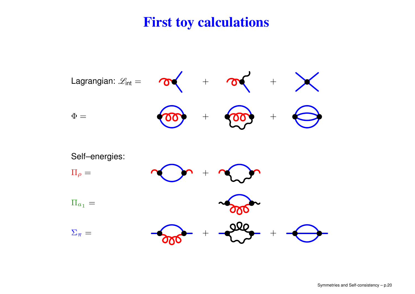## **First toy calculations**

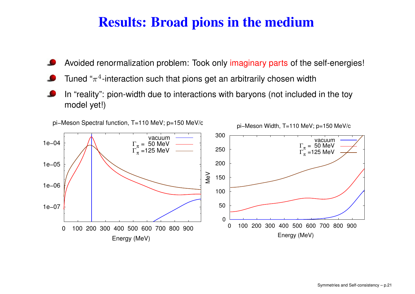# **Results: Broad pions in the medium**

- Avoided renormalization problem: Took only imaginary parts of the self-energies!
- Tuned " $\pi^4$ -interaction such that pions get an arbitrarily chosen width
- In "reality": pion-width due to interactions with baryons (not included in the toy model yet!)

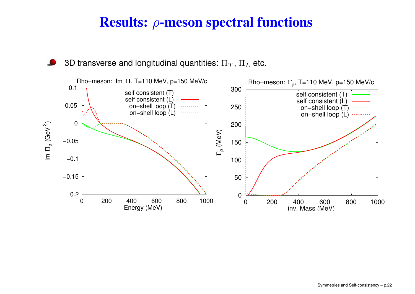# **Results:** ρ**-meson spectral functions**



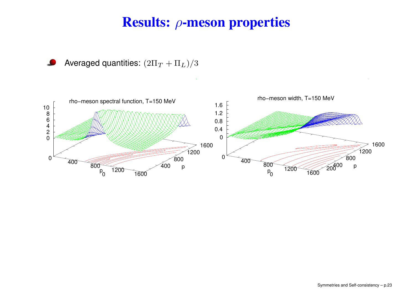# **Results:** ρ**-meson properties**

Averaged quantities:  $(2\Pi_T + \Pi_L)/3$ 



Symmetries and Self-consistency – p.23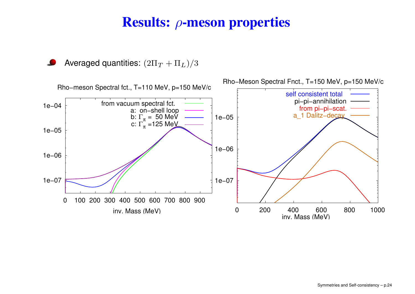# **Results:** ρ**-meson properties**

Averaged quantities:  $(2\Pi_T + \Pi_L)/3$ 

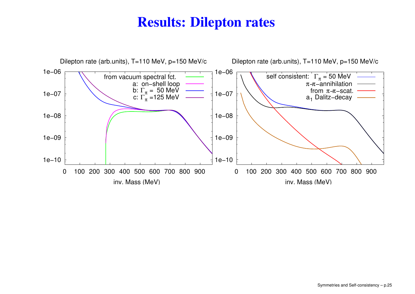# **Results: Dilepton rates**

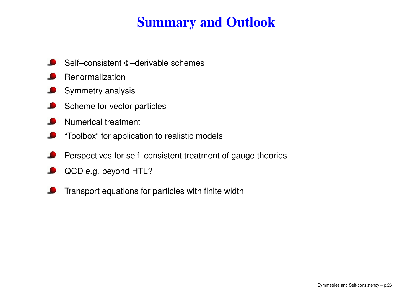# **Summary and Outlook**

- Self–consistent Φ–derivable schemes
- Renormalization
- Symmetry analysis
- Scheme for vector particles L
- Numerical treatment
- "Toolbox" for application to realistic models
- Perspectives for self–consistent treatment of gauge theories
- QCD e.g. beyond HTL?
- Transport equations for particles with finite width